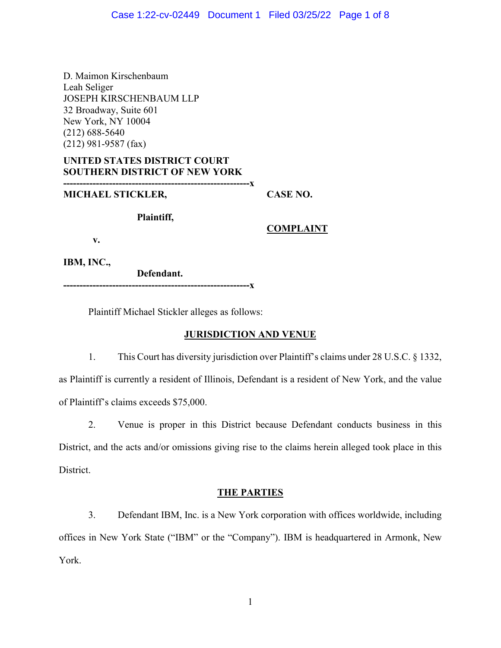D. Maimon Kirschenbaum Leah Seliger JOSEPH KIRSCHENBAUM LLP 32 Broadway, Suite 601 New York, NY 10004 (212) 688-5640 (212) 981-9587 (fax)

## **UNITED STATES DISTRICT COURT SOUTHERN DISTRICT OF NEW YORK**

**---------------------------------------------------------x** 

## **MICHAEL STICKLER,**

**CASE NO.** 

**Plaintiff,** 

**COMPLAINT** 

**v.** 

**IBM, INC.,**

**Defendant. ---------------------------------------------------------x** 

Plaintiff Michael Stickler alleges as follows:

# **JURISDICTION AND VENUE**

1. This Court has diversity jurisdiction over Plaintiff's claims under 28 U.S.C. § 1332, as Plaintiff is currently a resident of Illinois, Defendant is a resident of New York, and the value of Plaintiff's claims exceeds \$75,000.

2. Venue is proper in this District because Defendant conducts business in this District, and the acts and/or omissions giving rise to the claims herein alleged took place in this District.

# **THE PARTIES**

3. Defendant IBM, Inc. is a New York corporation with offices worldwide, including offices in New York State ("IBM" or the "Company"). IBM is headquartered in Armonk, New York.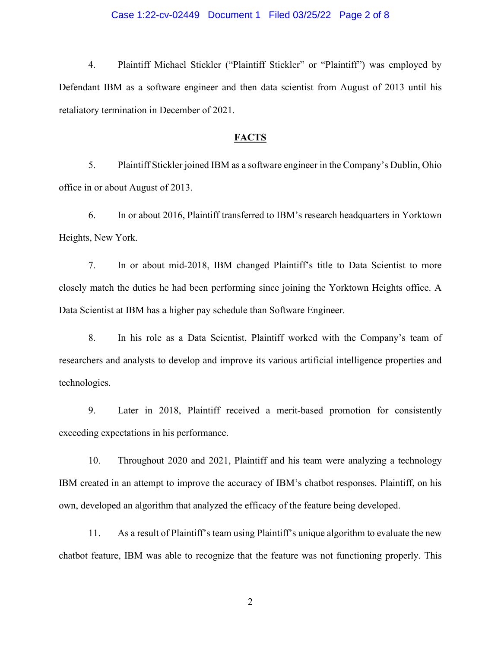#### Case 1:22-cv-02449 Document 1 Filed 03/25/22 Page 2 of 8

4. Plaintiff Michael Stickler ("Plaintiff Stickler" or "Plaintiff") was employed by Defendant IBM as a software engineer and then data scientist from August of 2013 until his retaliatory termination in December of 2021.

### **FACTS**

5. Plaintiff Stickler joined IBM as a software engineer in the Company's Dublin, Ohio office in or about August of 2013.

6. In or about 2016, Plaintiff transferred to IBM's research headquarters in Yorktown Heights, New York.

7. In or about mid-2018, IBM changed Plaintiff's title to Data Scientist to more closely match the duties he had been performing since joining the Yorktown Heights office. A Data Scientist at IBM has a higher pay schedule than Software Engineer.

8. In his role as a Data Scientist, Plaintiff worked with the Company's team of researchers and analysts to develop and improve its various artificial intelligence properties and technologies.

9. Later in 2018, Plaintiff received a merit-based promotion for consistently exceeding expectations in his performance.

10. Throughout 2020 and 2021, Plaintiff and his team were analyzing a technology IBM created in an attempt to improve the accuracy of IBM's chatbot responses. Plaintiff, on his own, developed an algorithm that analyzed the efficacy of the feature being developed.

11. As a result of Plaintiff's team using Plaintiff's unique algorithm to evaluate the new chatbot feature, IBM was able to recognize that the feature was not functioning properly. This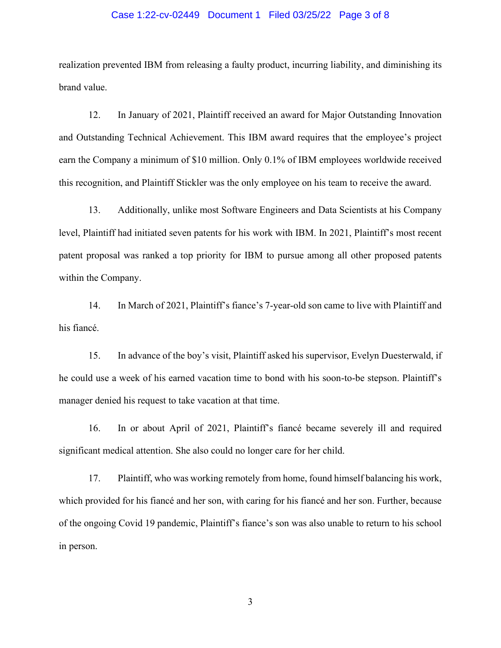#### Case 1:22-cv-02449 Document 1 Filed 03/25/22 Page 3 of 8

realization prevented IBM from releasing a faulty product, incurring liability, and diminishing its brand value.

12. In January of 2021, Plaintiff received an award for Major Outstanding Innovation and Outstanding Technical Achievement. This IBM award requires that the employee's project earn the Company a minimum of \$10 million. Only 0.1% of IBM employees worldwide received this recognition, and Plaintiff Stickler was the only employee on his team to receive the award.

13. Additionally, unlike most Software Engineers and Data Scientists at his Company level, Plaintiff had initiated seven patents for his work with IBM. In 2021, Plaintiff's most recent patent proposal was ranked a top priority for IBM to pursue among all other proposed patents within the Company.

14. In March of 2021, Plaintiff's fiance's 7-year-old son came to live with Plaintiff and his fiancé.

15. In advance of the boy's visit, Plaintiff asked his supervisor, Evelyn Duesterwald, if he could use a week of his earned vacation time to bond with his soon-to-be stepson. Plaintiff's manager denied his request to take vacation at that time.

16. In or about April of 2021, Plaintiff's fiancé became severely ill and required significant medical attention. She also could no longer care for her child.

17. Plaintiff, who was working remotely from home, found himself balancing his work, which provided for his fiancé and her son, with caring for his fiancé and her son. Further, because of the ongoing Covid 19 pandemic, Plaintiff's fiance's son was also unable to return to his school in person.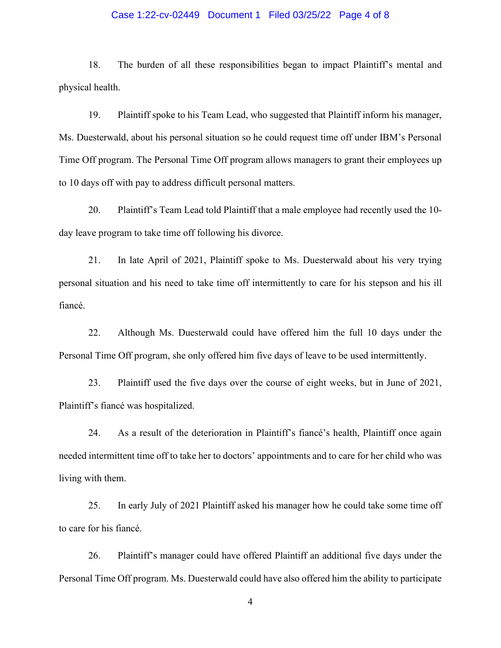### Case 1:22-cv-02449 Document 1 Filed 03/25/22 Page 4 of 8

18. The burden of all these responsibilities began to impact Plaintiff's mental and physical health.

19. Plaintiff spoke to his Team Lead, who suggested that Plaintiff inform his manager, Ms. Duesterwald, about his personal situation so he could request time off under IBM's Personal Time Off program. The Personal Time Off program allows managers to grant their employees up to 10 days off with pay to address difficult personal matters.

20. Plaintiff's Team Lead told Plaintiff that a male employee had recently used the 10 day leave program to take time off following his divorce.

21. In late April of 2021, Plaintiff spoke to Ms. Duesterwald about his very trying personal situation and his need to take time off intermittently to care for his stepson and his ill fiancé.

22. Although Ms. Duesterwald could have offered him the full 10 days under the Personal Time Off program, she only offered him five days of leave to be used intermittently.

23. Plaintiff used the five days over the course of eight weeks, but in June of 2021, Plaintiff's fiancé was hospitalized.

24. As a result of the deterioration in Plaintiff's fiancé's health, Plaintiff once again needed intermittent time off to take her to doctors' appointments and to care for her child who was living with them.

25. In early July of 2021 Plaintiff asked his manager how he could take some time off to care for his fiancé.

26. Plaintiff's manager could have offered Plaintiff an additional five days under the Personal Time Off program. Ms. Duesterwald could have also offered him the ability to participate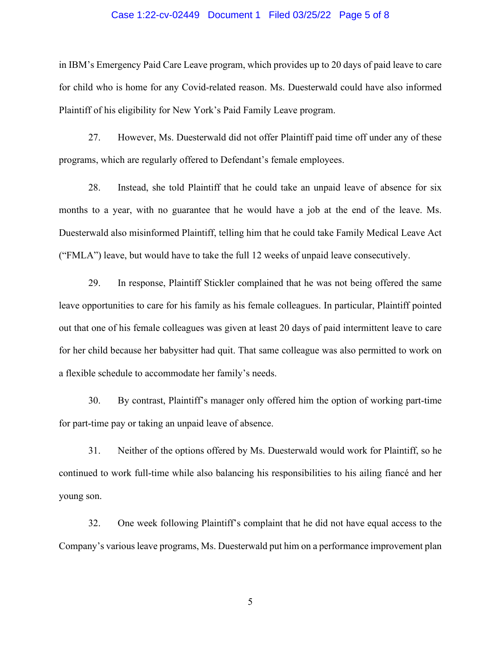#### Case 1:22-cv-02449 Document 1 Filed 03/25/22 Page 5 of 8

in IBM's Emergency Paid Care Leave program, which provides up to 20 days of paid leave to care for child who is home for any Covid-related reason. Ms. Duesterwald could have also informed Plaintiff of his eligibility for New York's Paid Family Leave program.

27. However, Ms. Duesterwald did not offer Plaintiff paid time off under any of these programs, which are regularly offered to Defendant's female employees.

28. Instead, she told Plaintiff that he could take an unpaid leave of absence for six months to a year, with no guarantee that he would have a job at the end of the leave. Ms. Duesterwald also misinformed Plaintiff, telling him that he could take Family Medical Leave Act ("FMLA") leave, but would have to take the full 12 weeks of unpaid leave consecutively.

29. In response, Plaintiff Stickler complained that he was not being offered the same leave opportunities to care for his family as his female colleagues. In particular, Plaintiff pointed out that one of his female colleagues was given at least 20 days of paid intermittent leave to care for her child because her babysitter had quit. That same colleague was also permitted to work on a flexible schedule to accommodate her family's needs.

30. By contrast, Plaintiff's manager only offered him the option of working part-time for part-time pay or taking an unpaid leave of absence.

31. Neither of the options offered by Ms. Duesterwald would work for Plaintiff, so he continued to work full-time while also balancing his responsibilities to his ailing fiancé and her young son.

32. One week following Plaintiff's complaint that he did not have equal access to the Company's various leave programs, Ms. Duesterwald put him on a performance improvement plan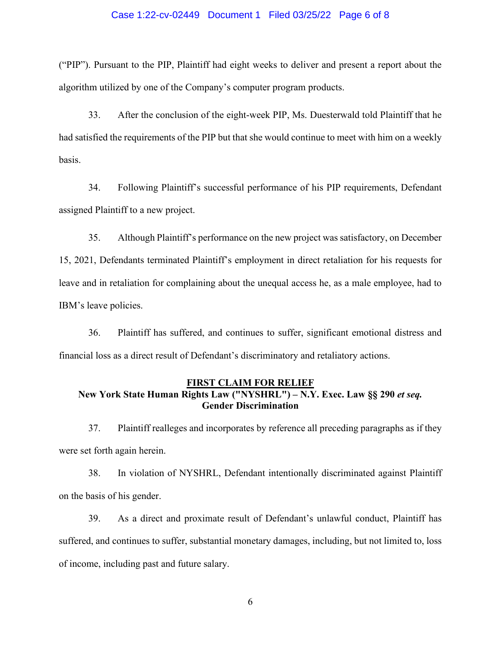#### Case 1:22-cv-02449 Document 1 Filed 03/25/22 Page 6 of 8

("PIP"). Pursuant to the PIP, Plaintiff had eight weeks to deliver and present a report about the algorithm utilized by one of the Company's computer program products.

33. After the conclusion of the eight-week PIP, Ms. Duesterwald told Plaintiff that he had satisfied the requirements of the PIP but that she would continue to meet with him on a weekly basis.

34. Following Plaintiff's successful performance of his PIP requirements, Defendant assigned Plaintiff to a new project.

35. Although Plaintiff's performance on the new project was satisfactory, on December 15, 2021, Defendants terminated Plaintiff's employment in direct retaliation for his requests for leave and in retaliation for complaining about the unequal access he, as a male employee, had to IBM's leave policies.

36. Plaintiff has suffered, and continues to suffer, significant emotional distress and financial loss as a direct result of Defendant's discriminatory and retaliatory actions.

## **FIRST CLAIM FOR RELIEF New York State Human Rights Law ("NYSHRL") – N.Y. Exec. Law §§ 290** *et seq.* **Gender Discrimination**

37. Plaintiff realleges and incorporates by reference all preceding paragraphs as if they were set forth again herein.

38. In violation of NYSHRL, Defendant intentionally discriminated against Plaintiff on the basis of his gender.

39. As a direct and proximate result of Defendant's unlawful conduct, Plaintiff has suffered, and continues to suffer, substantial monetary damages, including, but not limited to, loss of income, including past and future salary.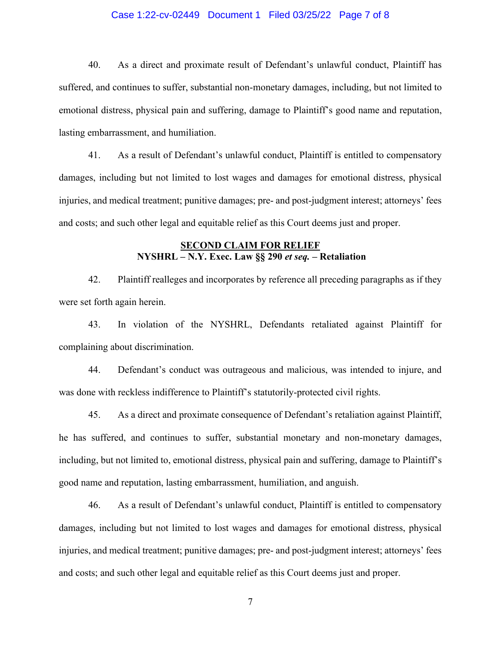### Case 1:22-cv-02449 Document 1 Filed 03/25/22 Page 7 of 8

40. As a direct and proximate result of Defendant's unlawful conduct, Plaintiff has suffered, and continues to suffer, substantial non-monetary damages, including, but not limited to emotional distress, physical pain and suffering, damage to Plaintiff's good name and reputation, lasting embarrassment, and humiliation.

41. As a result of Defendant's unlawful conduct, Plaintiff is entitled to compensatory damages, including but not limited to lost wages and damages for emotional distress, physical injuries, and medical treatment; punitive damages; pre- and post-judgment interest; attorneys' fees and costs; and such other legal and equitable relief as this Court deems just and proper.

## **SECOND CLAIM FOR RELIEF NYSHRL – N.Y. Exec. Law §§ 290** *et seq.* **– Retaliation**

42. Plaintiff realleges and incorporates by reference all preceding paragraphs as if they were set forth again herein.

43. In violation of the NYSHRL, Defendants retaliated against Plaintiff for complaining about discrimination.

44. Defendant's conduct was outrageous and malicious, was intended to injure, and was done with reckless indifference to Plaintiff's statutorily-protected civil rights.

45. As a direct and proximate consequence of Defendant's retaliation against Plaintiff, he has suffered, and continues to suffer, substantial monetary and non-monetary damages, including, but not limited to, emotional distress, physical pain and suffering, damage to Plaintiff's good name and reputation, lasting embarrassment, humiliation, and anguish.

46. As a result of Defendant's unlawful conduct, Plaintiff is entitled to compensatory damages, including but not limited to lost wages and damages for emotional distress, physical injuries, and medical treatment; punitive damages; pre- and post-judgment interest; attorneys' fees and costs; and such other legal and equitable relief as this Court deems just and proper.